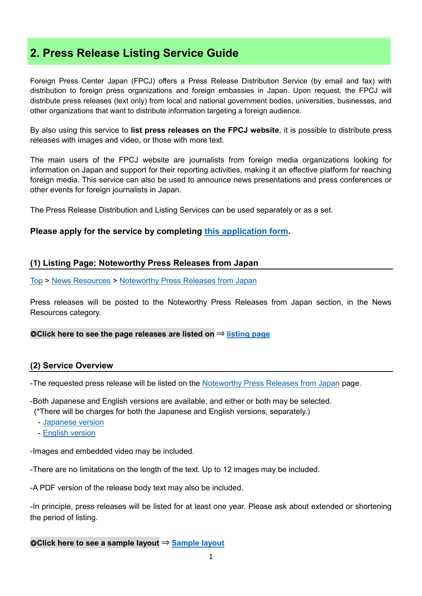# **2. Press Release Listing Service Guide**

Foreign Press Center Japan (FPCJ) offers a Press Release Distribution Service (by email and fax) with distribution to foreign press organizations and foreign embassies in Japan. Upon request, the FPCJ will distribute press releases (text only) from local and national government bodies, universities, businesses, and other organizations that want to distribute information targeting a foreign audience.

By also using this service to **list press releases on the FPCJ website**, it is possible to distribute press releases with images and video, or those with more text.

The main users of the FPCJ website are journalists from foreign media organizations looking for information on Japan and support for their reporting activities, making it an effective platform for reaching foreign media. This service can also be used to announce news presentations and press conferences or other events for foreign journalists in Japan.

The Press Release Distribution and Listing Services can be used separately or as a set.

# **Please apply for the service by completing [this application form.](http://fpcj.jp/en/distribute/release/#appliform)**

#### **(1) Listing Page: Noteworthy Press Releases from Japan**

[Top](http://fpcj.jp/en/) > [News Resources](http://fpcj.jp/en/useful/) > [Noteworthy Press Releases from Japan](http://fpcj.jp/en/prlisting/)

Press releases will be posted to the Noteworthy Press Releases from Japan section, in the News Resources category.

◎**Click here to see the page releases are listed on** ⇒ **[listing page](http://fpcj.jp/en/prlisting/)**

#### **(2) Service Overview**

-The requested press release will be listed on the [Noteworthy Press Releases from Japan](http://fpcj.jp/en/prlisting/) page.

-Both Japanese and English versions are available, and either or both may be selected.

(\*There will be charges for both the Japanese and English versions, separately.)

- [Japanese version](http://fpcj.jp/prlisting)
- [English version](http://fpcj.jp/en/prlisting/)

-Images and embedded video may be included.

-There are no limitations on the length of the text. Up to 12 images may be included.

-A PDF version of the release body text may also be included.

-In principle, press releases will be listed for at least one year. Please ask about extended or shortening the period of listing.

#### ◎**Click here to see a sample layout** ⇒ **[Sample layout](http://fpcj.jp/common_en/pdf/distribute/release/prlisting_layout.pdf)**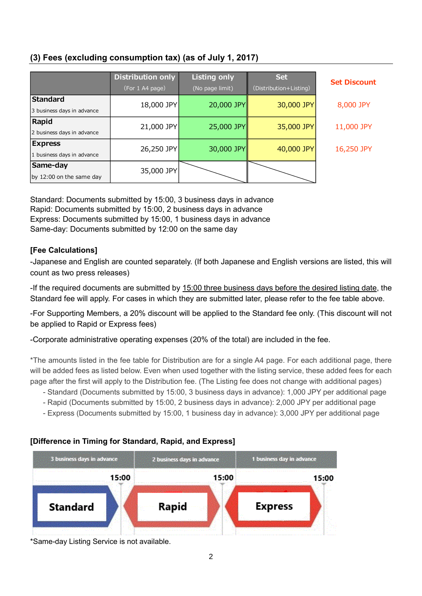# **(3) Fees (excluding consumption tax) (as of July 1, 2017)**

|                            | <b>Distribution only</b><br>(For 1 A4 page) | <b>Listing only</b><br>(No page limit) | <b>Set</b><br>(Distribution+Listing) | <b>Set Discount</b> |
|----------------------------|---------------------------------------------|----------------------------------------|--------------------------------------|---------------------|
| <b>Standard</b>            | 18,000 JPY                                  | 20,000 JPY                             | 30,000 JPY                           | 8,000 JPY           |
| 3 business days in advance |                                             |                                        |                                      |                     |
| <b>Rapid</b>               | 21,000 JPY                                  | 25,000 JPY                             | 35,000 JPY                           | 11,000 JPY          |
| 2 business days in advance |                                             |                                        |                                      |                     |
| <b>Express</b>             | 26,250 JPY                                  | 30,000 JPY                             | 40,000 JPY                           | 16,250 JPY          |
| 1 business days in advance |                                             |                                        |                                      |                     |
| Same-day                   | 35,000 JPY                                  |                                        |                                      |                     |
| by 12:00 on the same day   |                                             |                                        |                                      |                     |

Standard: Documents submitted by 15:00, 3 business days in advance Rapid: Documents submitted by 15:00, 2 business days in advance Express: Documents submitted by 15:00, 1 business days in advance Same-day: Documents submitted by 12:00 on the same day

# **[Fee Calculations]**

-Japanese and English are counted separately. (If both Japanese and English versions are listed, this will count as two press releases)

-If the required documents are submitted by 15:00 three business days before the desired listing date, the Standard fee will apply. For cases in which they are submitted later, please refer to the fee table above.

-For Supporting Members, a 20% discount will be applied to the Standard fee only. (This discount will not be applied to Rapid or Express fees)

-Corporate administrative operating expenses (20% of the total) are included in the fee.

\*The amounts listed in the fee table for Distribution are for a single A4 page. For each additional page, there will be added fees as listed below. Even when used together with the listing service, these added fees for each page after the first will apply to the Distribution fee. (The Listing fee does not change with additional pages)

- Standard (Documents submitted by 15:00, 3 business days in advance): 1,000 JPY per additional page
- Rapid (Documents submitted by 15:00, 2 business days in advance): 2,000 JPY per additional page
- Express (Documents submitted by 15:00, 1 business day in advance): 3,000 JPY per additional page

# **[Difference in Timing for Standard, Rapid, and Express]**



\*Same-day Listing Service is not available.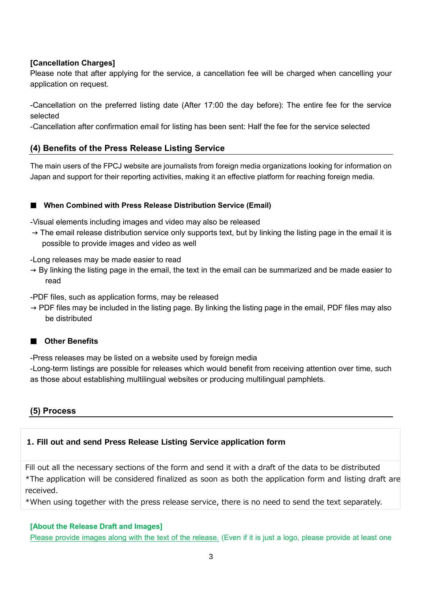# **[Cancellation Charges]**

Please note that after applying for the service, a cancellation fee will be charged when cancelling your application on request.

-Cancellation on the preferred listing date (After 17:00 the day before): The entire fee for the service selected

-Cancellation after confirmation email for listing has been sent: Half the fee for the service selected

# **(4) Benefits of the Press Release Listing Service**

The main users of the FPCJ website are journalists from foreign media organizations looking for information on Japan and support for their reporting activities, making it an effective platform for reaching foreign media.

#### ■ When Combined with Press Release Distribution Service (Email)

-Visual elements including images and video may also be released

 $\rightarrow$  The email release distribution service only supports text, but by linking the listing page in the email it is possible to provide images and video as well

-Long releases may be made easier to read

 $\rightarrow$  By linking the listing page in the email, the text in the email can be summarized and be made easier to read

-PDF files, such as application forms, may be released

 $\rightarrow$  PDF files may be included in the listing page. By linking the listing page in the email, PDF files may also be distributed

#### ■ **Other Benefits**

-Press releases may be listed on a website used by foreign media

-Long-term listings are possible for releases which would benefit from receiving attention over time, such as those about establishing multilingual websites or producing multilingual pamphlets.

# **(5) Process**

# **1. Fill out and send Press Release Listing Service application form**

Fill out all the necessary sections of the form and send it with a draft of the data to be distributed \*The application will be considered finalized as soon as both the application form and listing draft are received.

\*When using together with the press release service, there is no need to send the text separately.

#### **[About the Release Draft and Images]**

Please provide images along with the text of the release. (Even if it is just a logo, please provide at least one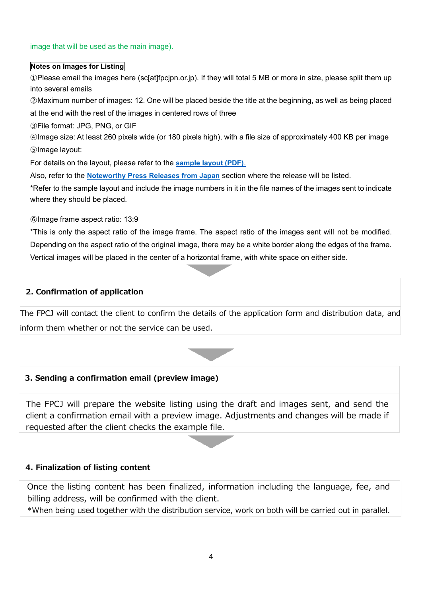#### image that will be used as the main image).

#### **Notes on Images for Listing**

①Please email the images here (sc[at]fpcjpn.or.jp). If they will total 5 MB or more in size, please split them up into several emails

②Maximum number of images: 12. One will be placed beside the title at the beginning, as well as being placed at the end with the rest of the images in centered rows of three

③File format: JPG, PNG, or GIF

④Image size: At least 260 pixels wide (or 180 pixels high), with a file size of approximately 400 KB per image ⑤Image layout:

For details on the layout, please refer to the **[sample layout \(PDF\)](http://fpcj.jp/common_en/pdf/distribute/release/prlisting_layout.pdf)**.

Also, refer to the **[Noteworthy Press Releases from Japan](http://fpcj.jp/en/prlisting/)** section where the release will be listed.

\*Refer to the sample layout and include the image numbers in it in the file names of the images sent to indicate where they should be placed.

⑥Image frame aspect ratio: 13:9

\*This is only the aspect ratio of the image frame. The aspect ratio of the images sent will not be modified. Depending on the aspect ratio of the original image, there may be a white border along the edges of the frame. Vertical images will be placed in the center of a horizontal frame, with white space on either side.

#### **2. Confirmation of application**

The FPCJ will contact the client to confirm the details of the application form and distribution data, and inform them whether or not the service can be used.



# **3. Sending a confirmation email (preview image)**

The FPCJ will prepare the website listing using the draft and images sent, and send the client a confirmation email with a preview image. Adjustments and changes will be made if requested after the client checks the example file.

#### **4. Finalization of listing content**

Once the listing content has been finalized, information including the language, fee, and billing address, will be confirmed with the client.

\*When being used together with the distribution service, work on both will be carried out in parallel.